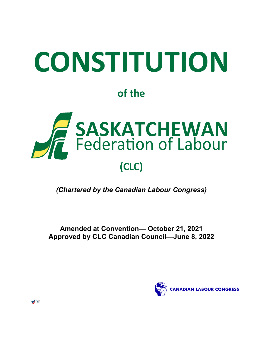# **CONSTITUTION**

# **of the**



*(Chartered by the Canadian Labour Congress)*

**Amended at Convention— October 21, 2021 Approved by CLC Canadian Council—June 8, 2022**



 $\bigg\{$   $\bigg\}$   $\bigg\}$   $\bigg\}$   $\bigg\}$   $\bigg\}$   $\bigg\}$   $\bigg\}$   $\bigg\}$   $\bigg\}$   $\bigg\}$   $\bigg\{$   $\bigg\}$   $\bigg\}$   $\bigg\}$   $\bigg\}$   $\bigg\}$   $\bigg\{$   $\bigg\}$   $\bigg\}$   $\bigg\}$   $\bigg\}$   $\bigg\{$   $\bigg\}$   $\bigg\}$   $\bigg\}$   $\bigg\}$   $\bigg\$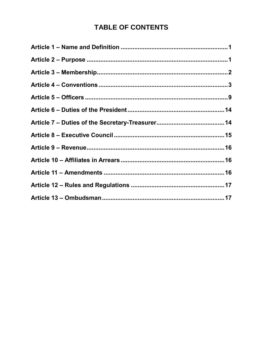# **TABLE OF CONTENTS**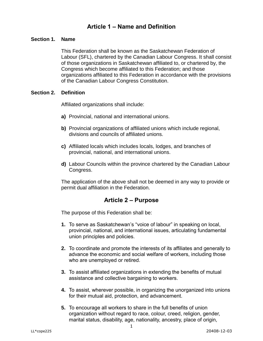# **Article 1 – Name and Definition**

#### <span id="page-2-0"></span>**Section 1. Name**

This Federation shall be known as the Saskatchewan Federation of Labour (SFL), chartered by the Canadian Labour Congress. It shall consist of those organizations in Saskatchewan affiliated to, or chartered by, the Congress which become affiliated to this Federation; and those organizations affiliated to this Federation in accordance with the provisions of the Canadian Labour Congress Constitution.

#### **Section 2. Definition**

Affiliated organizations shall include:

- **a)** Provincial, national and international unions.
- **b)** Provincial organizations of affiliated unions which include regional, divisions and councils of affiliated unions.
- **c)** Affiliated locals which includes locals, lodges, and branches of provincial, national, and international unions.
- **d)** Labour Councils within the province chartered by the Canadian Labour Congress.

The application of the above shall not be deemed in any way to provide or permit dual affiliation in the Federation.

### **Article 2 – Purpose**

<span id="page-2-1"></span>The purpose of this Federation shall be:

- **1.** To serve as Saskatchewan's "voice of labour" in speaking on local, provincial, national, and international issues, articulating fundamental union principles and policies.
- **2.** To coordinate and promote the interests of its affiliates and generally to advance the economic and social welfare of workers, including those who are unemployed or retired.
- **3.** To assist affiliated organizations in extending the benefits of mutual assistance and collective bargaining to workers.
- **4.** To assist, wherever possible, in organizing the unorganized into unions for their mutual aid, protection, and advancement.
- **5.** To encourage all workers to share in the full benefits of union organization without regard to race, colour, creed, religion, gender, marital status, disability, age, nationality, ancestry, place of origin,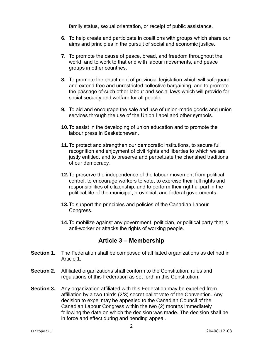family status, sexual orientation, or receipt of public assistance.

- **6.** To help create and participate in coalitions with groups which share our aims and principles in the pursuit of social and economic justice.
- **7.** To promote the cause of peace, bread, and freedom throughout the world, and to work to that end with labour movements, and peace groups in other countries.
- **8.** To promote the enactment of provincial legislation which will safeguard and extend free and unrestricted collective bargaining, and to promote the passage of such other labour and social laws which will provide for social security and welfare for all people.
- **9.** To aid and encourage the sale and use of union-made goods and union services through the use of the Union Label and other symbols.
- **10.**To assist in the developing of union education and to promote the labour press in Saskatchewan.
- **11.**To protect and strengthen our democratic institutions, to secure full recognition and enjoyment of civil rights and liberties to which we are justly entitled, and to preserve and perpetuate the cherished traditions of our democracy.
- **12.**To preserve the independence of the labour movement from political control, to encourage workers to vote, to exercise their full rights and responsibilities of citizenship, and to perform their rightful part in the political life of the municipal, provincial, and federal governments.
- **13.**To support the principles and policies of the Canadian Labour Congress.
- **14.**To mobilize against any government, politician, or political party that is anti-worker or attacks the rights of working people.

# **Article 3 – Membership**

- <span id="page-3-0"></span>**Section 1.** The Federation shall be composed of affiliated organizations as defined in Article 1.
- **Section 2.** Affiliated organizations shall conform to the Constitution, rules and regulations of this Federation as set forth in this Constitution.
- **Section 3.** Any organization affiliated with this Federation may be expelled from affiliation by a two-thirds (2/3) secret ballot vote of the Convention. Any decision to expel may be appealed to the Canadian Council of the Canadian Labour Congress within the two (2) months immediately following the date on which the decision was made. The decision shall be in force and effect during and pending appeal.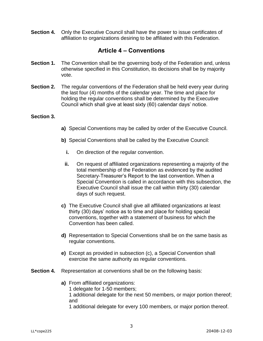**Section 4.** Only the Executive Council shall have the power to issue certificates of affiliation to organizations desiring to be affiliated with this Federation.

## **Article 4 – Conventions**

- <span id="page-4-0"></span>**Section 1.** The Convention shall be the governing body of the Federation and, unless otherwise specified in this Constitution, its decisions shall be by majority vote.
- **Section 2.** The regular conventions of the Federation shall be held every year during the last four (4) months of the calendar year. The time and place for holding the regular conventions shall be determined by the Executive Council which shall give at least sixty (60) calendar days' notice.

#### **Section 3.**

- **a)** Special Conventions may be called by order of the Executive Council.
- **b)** Special Conventions shall be called by the Executive Council:
	- **i.** On direction of the regular convention.
	- **ii.** On request of affiliated organizations representing a majority of the total membership of the Federation as evidenced by the audited Secretary-Treasurer's Report to the last convention. When a Special Convention is called in accordance with this subsection, the Executive Council shall issue the call within thirty (30) calendar days of such request.
- **c)** The Executive Council shall give all affiliated organizations at least thirty (30) days' notice as to time and place for holding special conventions, together with a statement of business for which the Convention has been called.
- **d)** Representation to Special Conventions shall be on the same basis as regular conventions.
- **e)** Except as provided in subsection (c), a Special Convention shall exercise the same authority as regular conventions.
- **Section 4.** Representation at conventions shall be on the following basis:
	- **a)** From affiliated organizations: 1 delegate for 1-50 members; 1 additional delegate for the next 50 members, or major portion thereof; and

1 additional delegate for every 100 members, or major portion thereof.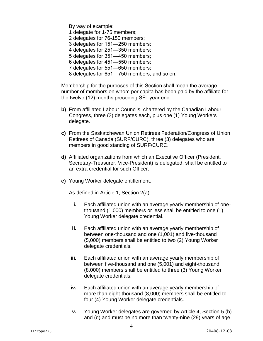By way of example:

- 1 delegate for 1-75 members;
- 2 delegates for 76-150 members;
- 3 delegates for 151―250 members;
- 4 delegates for 251―350 members;
- 5 delegates for 351―450 members;
- 6 delegates for 451―550 members;
- 7 delegates for 551―650 members;
- 8 delegates for 651―750 members, and so on.

Membership for the purposes of this Section shall mean the average number of members on whom per capita has been paid by the affiliate for the twelve (12) months preceding SFL year end.

- **b)** From affiliated Labour Councils, chartered by the Canadian Labour Congress, three (3) delegates each, plus one (1) Young Workers delegate.
- **c)** From the Saskatchewan Union Retirees Federation/Congress of Union Retirees of Canada (SURF/CURC), three (3) delegates who are members in good standing of SURF/CURC.
- **d)** Affiliated organizations from which an Executive Officer (President, Secretary-Treasurer, Vice-President) is delegated, shall be entitled to an extra credential for such Officer.
- **e)** Young Worker delegate entitlement.

As defined in Article 1, Section 2(a).

- **i.** Each affiliated union with an average yearly membership of onethousand (1,000) members or less shall be entitled to one (1) Young Worker delegate credential.
- **ii.** Each affiliated union with an average yearly membership of between one-thousand and one (1,001) and five-thousand (5,000) members shall be entitled to two (2) Young Worker delegate credentials.
- **iii.** Each affiliated union with an average yearly membership of between five-thousand and one (5,001) and eight-thousand (8,000) members shall be entitled to three (3) Young Worker delegate credentials.
- **iv.** Each affiliated union with an average yearly membership of more than eight-thousand (8,000) members shall be entitled to four (4) Young Worker delegate credentials.
- **v.** Young Worker delegates are governed by Article 4, Section 5 (b) and (d) and must be no more than twenty-nine (29) years of age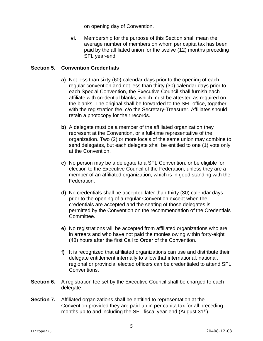on opening day of Convention.

**vi.** Membership for the purpose of this Section shall mean the average number of members on whom per capita tax has been paid by the affiliated union for the twelve (12) months preceding SFL year-end.

#### **Section 5. Convention Credentials**

- **a)** Not less than sixty (60) calendar days prior to the opening of each regular convention and not less than thirty (30) calendar days prior to each Special Convention, the Executive Council shall furnish each affiliate with credential blanks, which must be attested as required on the blanks. The original shall be forwarded to the SFL office, together with the registration fee, c/o the Secretary-Treasurer. Affiliates should retain a photocopy for their records.
- **b)** A delegate must be a member of the affiliated organization they represent at the Convention, or a full-time representative of the organization. Two (2) or more locals of the same union may combine to send delegates, but each delegate shall be entitled to one (1) vote only at the Convention.
- **c)** No person may be a delegate to a SFL Convention, or be eligible for election to the Executive Council of the Federation, unless they are a member of an affiliated organization, which is in good standing with the Federation.
- **d)** No credentials shall be accepted later than thirty (30) calendar days prior to the opening of a regular Convention except when the credentials are accepted and the seating of those delegates is permitted by the Convention on the recommendation of the Credentials Committee.
- **e)** No registrations will be accepted from affiliated organizations who are in arrears and who have not paid the monies owing within forty-eight (48) hours after the first Call to Order of the Convention.
- **f)** It is recognized that affiliated organizations can use and distribute their delegate entitlement internally to allow that international, national, regional or provincial elected officers can be credentialed to attend SFL Conventions.
- **Section 6.** A registration fee set by the Executive Council shall be charged to each delegate.
- **Section 7.** Affiliated organizations shall be entitled to representation at the Convention provided they are paid-up in per capita tax for all preceding months up to and including the SFL fiscal year-end (August 31<sup>st</sup>).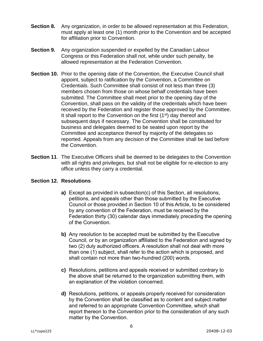- **Section 8.** Any organization, in order to be allowed representation at this Federation, must apply at least one (1) month prior to the Convention and be accepted for affiliation prior to Convention.
- **Section 9.** Any organization suspended or expelled by the Canadian Labour Congress or this Federation shall not, while under such penalty, be allowed representation at the Federation Convention.
- **Section 10.** Prior to the opening date of the Convention, the Executive Council shall appoint, subject to ratification by the Convention, a Committee on Credentials. Such Committee shall consist of not less than three (3) members chosen from those on whose behalf credentials have been submitted. The Committee shall meet prior to the opening day of the Convention, shall pass on the validity of the credentials which have been received by the Federation and register those approved by the Committee. It shall report to the Convention on the first  $(1<sup>st</sup>)$  day thereof and subsequent days if necessary. The Convention shall be constituted for business and delegates deemed to be seated upon report by the Committee and acceptance thereof by majority of the delegates so reported. Appeals from any decision of the Committee shall be laid before the Convention.
- **Section 11**. The Executive Officers shall be deemed to be delegates to the Convention with all rights and privileges, but shall not be eligible for re-election to any office unless they carry a credential.

#### **Section 12. Resolutions**

- **a)** Except as provided in subsection(c) of this Section, all resolutions, petitions, and appeals other than those submitted by the Executive Council or those provided in Section 10 of this Article, to be considered by any convention of the Federation, must be received by the Federation thirty (30) calendar days immediately preceding the opening of the Convention.
- **b)** Any resolution to be accepted must be submitted by the Executive Council, or by an organization affiliated to the Federation and signed by two (2) duly authorized officers. A resolution shall not deal with more than one (1) subject, shall refer to the action which is proposed, and shall contain not more than two-hundred (200) words.
- **c)** Resolutions, petitions and appeals received or submitted contrary to the above shall be returned to the organization submitting them, with an explanation of the violation concerned.
- **d)** Resolutions, petitions, or appeals properly received for consideration by the Convention shall be classified as to content and subject matter and referred to an appropriate Convention Committee, which shall report thereon to the Convention prior to the consideration of any such matter by the Convention.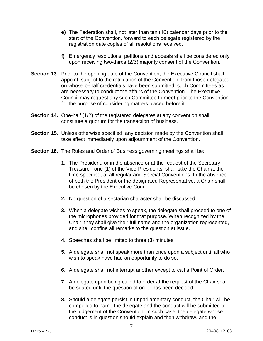- **e)** The Federation shall, not later than ten (10) calendar days prior to the start of the Convention, forward to each delegate registered by the registration date copies of all resolutions received.
- **f)** Emergency resolutions, petitions and appeals shall be considered only upon receiving two-thirds (2/3) majority consent of the Convention.
- **Section 13.** Prior to the opening date of the Convention, the Executive Council shall appoint, subject to the ratification of the Convention, from those delegates on whose behalf credentials have been submitted, such Committees as are necessary to conduct the affairs of the Convention. The Executive Council may request any such Committee to meet prior to the Convention for the purpose of considering matters placed before it.
- **Section 14.** One-half (1/2) of the registered delegates at any convention shall constitute a quorum for the transaction of business.
- **Section 15.** Unless otherwise specified, any decision made by the Convention shall take effect immediately upon adjournment of the Convention.
- **Section 16.** The Rules and Order of Business governing meetings shall be:
	- **1.** The President, or in the absence or at the request of the Secretary-Treasurer, one (1) of the Vice-Presidents, shall take the Chair at the time specified, at all regular and Special Conventions. In the absence of both the President or the designated Representative, a Chair shall be chosen by the Executive Council.
	- **2.** No question of a sectarian character shall be discussed.
	- **3.** When a delegate wishes to speak, the delegate shall proceed to one of the microphones provided for that purpose. When recognized by the Chair, they shall give their full name and the organization represented, and shall confine all remarks to the question at issue.
	- **4.** Speeches shall be limited to three (3) minutes.
	- **5.** A delegate shall not speak more than once upon a subject until all who wish to speak have had an opportunity to do so.
	- **6.** A delegate shall not interrupt another except to call a Point of Order.
	- **7.** A delegate upon being called to order at the request of the Chair shall be seated until the question of order has been decided.
	- **8.** Should a delegate persist in unparliamentary conduct, the Chair will be compelled to name the delegate and the conduct will be submitted to the judgement of the Convention. In such case, the delegate whose conduct is in question should explain and then withdraw, and the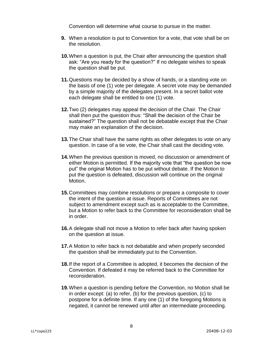Convention will determine what course to pursue in the matter.

- **9.** When a resolution is put to Convention for a vote, that vote shall be on the resolution.
- **10.**When a question is put, the Chair after announcing the question shall ask: "Are you ready for the question?" If no delegate wishes to speak the question shall be put.
- **11.**Questions may be decided by a show of hands, or a standing vote on the basis of one (1) vote per delegate. A secret vote may be demanded by a simple majority of the delegates present. In a secret ballot vote each delegate shall be entitled to one (1) vote.
- **12.**Two (2) delegates may appeal the decision of the Chair. The Chair shall then put the question thus: "Shall the decision of the Chair be sustained?" The question shall not be debatable except that the Chair may make an explanation of the decision.
- **13.**The Chair shall have the same rights as other delegates to vote on any question. In case of a tie vote, the Chair shall cast the deciding vote.
- **14.**When the previous question is moved, no discussion or amendment of either Motion is permitted. If the majority vote that "the question be now put" the original Motion has to be put without debate. If the Motion to put the question is defeated, discussion will continue on the original Motion.
- **15.**Committees may combine resolutions or prepare a composite to cover the intent of the question at issue. Reports of Committees are not subject to amendment except such as is acceptable to the Committee, but a Motion to refer back to the Committee for reconsideration shall be in order.
- **16.**A delegate shall not move a Motion to refer back after having spoken on the question at issue.
- **17.**A Motion to refer back is not debatable and when properly seconded the question shall be immediately put to the Convention.
- **18.**If the report of a Committee is adopted, it becomes the decision of the Convention. If defeated it may be referred back to the Committee for reconsideration.
- **19.**When a question is pending before the Convention, no Motion shall be in order except: (a) to refer, (b) for the previous question, (c) to postpone for a definite time. If any one (1) of the foregoing Motions is negated, it cannot be renewed until after an intermediate proceeding.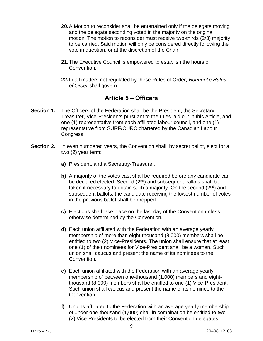- **20.**A Motion to reconsider shall be entertained only if the delegate moving and the delegate seconding voted in the majority on the original motion. The motion to reconsider must receive two-thirds (2/3) majority to be carried. Said motion will only be considered directly following the vote in question, or at the discretion of the Chair.
- **21.**The Executive Council is empowered to establish the hours of Convention.
- **22.**In all matters not regulated by these Rules of Order, *Bourinot's Rules of Order* shall govern.

# **Article 5 – Officers**

- <span id="page-10-0"></span>**Section 1.** The Officers of the Federation shall be the President, the Secretary-Treasurer, Vice-Presidents pursuant to the rules laid out in this Article, and one (1) representative from each affiliated labour council, and one (1) representative from SURF/CURC chartered by the Canadian Labour Congress.
- **Section 2.** In even numbered years, the Convention shall, by secret ballot, elect for a two (2) year term:
	- **a)** President, and a Secretary-Treasurer.
	- **b)** A majority of the votes cast shall be required before any candidate can be declared elected. Second (2<sup>nd</sup>) and subsequent ballots shall be taken if necessary to obtain such a majority. On the second  $(2^{nd})$  and subsequent ballots, the candidate receiving the lowest number of votes in the previous ballot shall be dropped.
	- **c)** Elections shall take place on the last day of the Convention unless otherwise determined by the Convention.
	- **d)** Each union affiliated with the Federation with an average yearly membership of more than eight-thousand (8,000) members shall be entitled to two (2) Vice-Presidents. The union shall ensure that at least one (1) of their nominees for Vice-President shall be a woman. Such union shall caucus and present the name of its nominees to the Convention.
	- **e)** Each union affiliated with the Federation with an average yearly membership of between one-thousand (1,000) members and eightthousand (8,000) members shall be entitled to one (1) Vice-President. Such union shall caucus and present the name of its nominee to the Convention.
	- **f)** Unions affiliated to the Federation with an average yearly membership of under one-thousand (1,000) shall in combination be entitled to two (2) Vice-Presidents to be elected from their Convention delegates.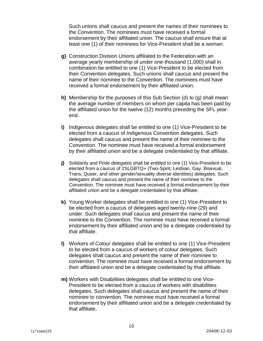Such unions shall caucus and present the names of their nominees to the Convention. The nominees must have received a formal endorsement by their affiliated union. The caucus shall ensure that at least one (1) of their nominees for Vice-President shall be a woman.

- **g)** Construction Division Unions affiliated to the Federation with an average yearly membership of under one-thousand (1,000) shall in combination be entitled to one (1) Vice-President to be elected from their Convention delegates. Such unions shall caucus and present the name of their nominee to the Convention. The nominees must have received a formal endorsement by their affiliated union.
- **h)** Membership for the purposes of this Sub Section (d) to (g) shall mean the average number of members on whom per capita has been paid by the affiliated union for the twelve (12) months preceding the SFL yearend.
- **i)** Indigenous delegates shall be entitled to one (1) Vice-President to be elected from a caucus of Indigenous Convention delegates. Such delegates shall caucus and present the name of their nominee to the Convention. The nominee must have received a formal endorsement by their affiliated union and be a delegate credentialed by that affiliate.
- **j)** Solidarity and Pride delegates shall be entitled to one (1) Vice-President to be elected from a caucus of 2SLGBTQ+ (Two-Spirit, Lesbian, Gay, Bisexual, Trans, Queer, and other gender/sexuality diverse identities) delegates. Such delegates shall caucus and present the name of their nominee to the Convention. The nominee must have received a formal endorsement by their affiliated union and be a delegate credentialed by that affiliate.
- **k)** Young Worker delegates shall be entitled to one (1) Vice-President to be elected from a caucus of delegates aged twenty-nine (29) and under. Such delegates shall caucus and present the name of their nominee to the Convention. The nominee must have received a formal endorsement by their affiliated union and be a delegate credentialed by that affiliate.
- **l)** Workers of Colour delegates shall be entitled to one (1) Vice-President to be elected from a caucus of workers of colour delegates. Such delegates shall caucus and present the name of their nominee to convention. The nominee must have received a formal endorsement by their affiliated union and be a delegate credentialed by that affiliate.
- **m)** Workers with Disabilities delegates shall be entitled to one Vice-President to be elected from a caucus of workers with disabilities delegates. Such delegates shall caucus and present the name of their nominee to convention. The nominee must have received a formal endorsement by their affiliated union and be a delegate credentialed by that affiliate.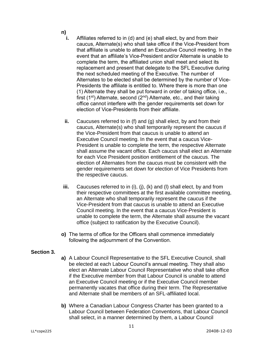- **n)**
	- **i.** Affiliates referred to in (d) and (e) shall elect, by and from their caucus, Alternate(s) who shall take office if the Vice-President from that affiliate is unable to attend an Executive Council meeting. In the event that an affiliate's Vice-President and/or Alternate is unable to complete the term, the affiliated union shall meet and select its replacement and present that delegate to the SFL Executive during the next scheduled meeting of the Executive. The number of Alternates to be elected shall be determined by the number of Vice-Presidents the affiliate is entitled to. Where there is more than one (1) Alternate they shall be put forward in order of taking office, i.e., first (1<sup>st</sup>) Alternate, second ( $2<sup>nd</sup>$ ) Alternate, etc., and their taking office cannot interfere with the gender requirements set down for election of Vice-Presidents from their affiliate.
	- **ii.** Caucuses referred to in (f) and (g) shall elect, by and from their caucus, Alternate(s) who shall temporarily represent the caucus if the Vice-President from that caucus is unable to attend an Executive Council meeting. In the event that a caucus Vice-President is unable to complete the term, the respective Alternate shall assume the vacant office. Each caucus shall elect an Alternate for each Vice President position entitlement of the caucus. The election of Alternates from the caucus must be consistent with the gender requirements set down for election of Vice Presidents from the respective caucus.
- **iii.** Caucuses referred to in (i), (j), (k) and (l) shall elect, by and from their respective committees at the first available committee meeting, an Alternate who shall temporarily represent the caucus if the Vice-President from that caucus is unable to attend an Executive Council meeting. In the event that a caucus Vice-President is unable to complete the term, the Alternate shall assume the vacant office (subject to ratification by the Executive Council).
- **o)** The terms of office for the Officers shall commence immediately following the adjournment of the Convention.

#### **Section 3.**

- **a)** A Labour Council Representative to the SFL Executive Council, shall be elected at each Labour Council's annual meeting. They shall also elect an Alternate Labour Council Representative who shall take office if the Executive member from that Labour Council is unable to attend an Executive Council meeting or if the Executive Council member permanently vacates that office during their term. The Representative and Alternate shall be members of an SFL-affiliated local.
- **b)** Where a Canadian Labour Congress Charter has been granted to a Labour Council between Federation Conventions, that Labour Council shall select, in a manner determined by them, a Labour Council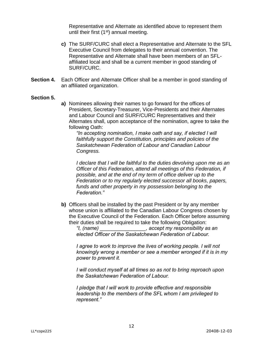Representative and Alternate as identified above to represent them until their first  $(1<sup>st</sup>)$  annual meeting.

- **c)** The SURF/CURC shall elect a Representative and Alternate to the SFL Executive Council from delegates to their annual convention. The Representative and Alternate shall have been members of an SFLaffiliated local and shall be a current member in good standing of SURF/CURC.
- **Section 4.** Each Officer and Alternate Officer shall be a member in good standing of an affiliated organization.

#### **Section 5.**

**a)** Nominees allowing their names to go forward for the offices of President, Secretary-Treasurer, Vice-Presidents and their Alternates and Labour Council and SURF/CURC Representatives and their Alternates shall, upon acceptance of the nomination, agree to take the following Oath:

*"In accepting nomination, I make oath and say, if elected I will faithfully support the Constitution, principles and policies of the Saskatchewan Federation of Labour and Canadian Labour Congress.*

*I declare that I will be faithful to the duties devolving upon me as an Officer of this Federation, attend all meetings of this Federation, if possible, and at the end of my term of office deliver up to the Federation or to my regularly elected successor all books, papers, funds and other property in my possession belonging to the Federation."*

**b)** Officers shall be installed by the past President or by any member whose union is affiliated to the Canadian Labour Congress chosen by the Executive Council of the Federation. Each Officer before assuming their duties shall be required to take the following Obligation:

*"I, (name) \_\_\_\_\_\_\_\_\_\_\_\_\_\_\_\_, accept my responsibility as an elected Officer of the Saskatchewan Federation of Labour.*

*I agree to work to improve the lives of working people. I will not knowingly wrong a member or see a member wronged if it is in my power to prevent it.*

*I will conduct myself at all times so as not to bring reproach upon the Saskatchewan Federation of Labour.*

*I pledge that I will work to provide effective and responsible leadership to the members of the SFL whom I am privileged to represent."*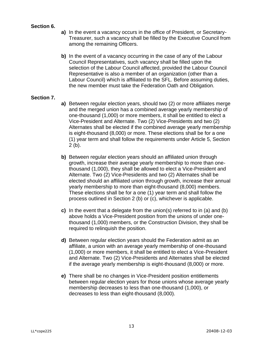#### **Section 6.**

- **a)** In the event a vacancy occurs in the office of President, or Secretary-Treasurer, such a vacancy shall be filled by the Executive Council from among the remaining Officers.
- **b)** In the event of a vacancy occurring in the case of any of the Labour Council Representatives, such vacancy shall be filled upon the selection of the Labour Council affected, provided the Labour Council Representative is also a member of an organization (other than a Labour Council) which is affiliated to the SFL. Before assuming duties, the new member must take the Federation Oath and Obligation.

#### **Section 7.**

- **a)** Between regular election years, should two (2) or more affiliates merge and the merged union has a combined average yearly membership of one-thousand (1,000) or more members, it shall be entitled to elect a Vice-President and Alternate. Two (2) Vice-Presidents and two (2) Alternates shall be elected if the combined average yearly membership is eight-thousand (8,000) or more. These elections shall be for a one (1) year term and shall follow the requirements under Article 5, Section 2 (b).
- **b)** Between regular election years should an affiliated union through growth, increase their average yearly membership to more than onethousand (1,000), they shall be allowed to elect a Vice-President and Alternate. Two (2) Vice-Presidents and two (2) Alternates shall be elected should an affiliated union through growth, increase their annual yearly membership to more than eight-thousand (8,000) members. These elections shall be for a one (1) year term and shall follow the process outlined in Section 2 (b) or (c), whichever is applicable.
- **c)** In the event that a delegate from the union(s) referred to in (a) and (b) above holds a Vice-President position from the unions of under onethousand (1,000) members, or the Construction Division, they shall be required to relinquish the position.
- **d)** Between regular election years should the Federation admit as an affiliate, a union with an average yearly membership of one-thousand (1,000) or more members, it shall be entitled to elect a Vice-President and Alternate. Two (2) Vice-Presidents and Alternates shall be elected if the average yearly membership is eight-thousand (8,000) or more.
- **e)** There shall be no changes in Vice-President position entitlements between regular election years for those unions whose average yearly membership decreases to less than one-thousand (1,000), or decreases to less than eight-thousand (8,000).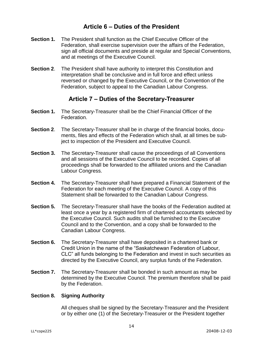# **Article 6 – Duties of the President**

- <span id="page-15-0"></span>**Section 1.** The President shall function as the Chief Executive Officer of the Federation, shall exercise supervision over the affairs of the Federation, sign all official documents and preside at regular and Special Conventions, and at meetings of the Executive Council.
- **Section 2**. The President shall have authority to interpret this Constitution and interpretation shall be conclusive and in full force and effect unless reversed or changed by the Executive Council, or the Convention of the Federation, subject to appeal to the Canadian Labour Congress.

# **Article 7 – Duties of the Secretary-Treasurer**

- <span id="page-15-1"></span>**Section 1.** The Secretary-Treasurer shall be the Chief Financial Officer of the Federation.
- **Section 2**. The Secretary-Treasurer shall be in charge of the financial books, documents, files and effects of the Federation which shall, at all times be subject to inspection of the President and Executive Council.
- **Section 3.** The Secretary-Treasurer shall cause the proceedings of all Conventions and all sessions of the Executive Council to be recorded. Copies of all proceedings shall be forwarded to the affiliated unions and the Canadian Labour Congress.
- **Section 4.** The Secretary-Treasurer shall have prepared a Financial Statement of the Federation for each meeting of the Executive Council. A copy of this Statement shall be forwarded to the Canadian Labour Congress.
- **Section 5.** The Secretary-Treasurer shall have the books of the Federation audited at least once a year by a registered firm of chartered accountants selected by the Executive Council. Such audits shall be furnished to the Executive Council and to the Convention, and a copy shall be forwarded to the Canadian Labour Congress.
- **Section 6.** The Secretary-Treasurer shall have deposited in a chartered bank or Credit Union in the name of the "Saskatchewan Federation of Labour, CLC" all funds belonging to the Federation and invest in such securities as directed by the Executive Council, any surplus funds of the Federation.
- **Section 7.** The Secretary-Treasurer shall be bonded in such amount as may be determined by the Executive Council. The premium therefore shall be paid by the Federation.

#### **Section 8. Signing Authority**

All cheques shall be signed by the Secretary-Treasurer and the President or by either one (1) of the Secretary-Treasurer or the President together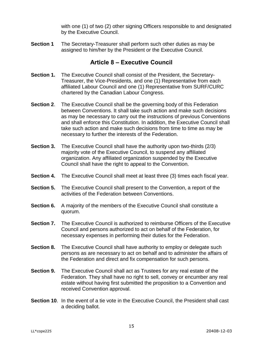with one (1) of two (2) other signing Officers responsible to and designated by the Executive Council.

**Section 1** The Secretary-Treasurer shall perform such other duties as may be assigned to him/her by the President or the Executive Council.

# **Article 8 – Executive Council**

- <span id="page-16-0"></span>**Section 1.** The Executive Council shall consist of the President, the Secretary-Treasurer, the Vice-Presidents, and one (1) Representative from each affiliated Labour Council and one (1) Representative from SURF/CURC chartered by the Canadian Labour Congress.
- **Section 2.** The Executive Council shall be the governing body of this Federation between Conventions. It shall take such action and make such decisions as may be necessary to carry out the instructions of previous Conventions and shall enforce this Constitution. In addition, the Executive Council shall take such action and make such decisions from time to time as may be necessary to further the interests of the Federation.
- **Section 3.** The Executive Council shall have the authority upon two-thirds (2/3) majority vote of the Executive Council, to suspend any affiliated organization. Any affiliated organization suspended by the Executive Council shall have the right to appeal to the Convention.
- **Section 4.** The Executive Council shall meet at least three (3) times each fiscal year.
- **Section 5.** The Executive Council shall present to the Convention, a report of the activities of the Federation between Conventions.
- **Section 6.** A majority of the members of the Executive Council shall constitute a quorum.
- **Section 7.** The Executive Council is authorized to reimburse Officers of the Executive Council and persons authorized to act on behalf of the Federation, for necessary expenses in performing their duties for the Federation.
- **Section 8.** The Executive Council shall have authority to employ or delegate such persons as are necessary to act on behalf and to administer the affairs of the Federation and direct and fix compensation for such persons.
- **Section 9.** The Executive Council shall act as Trustees for any real estate of the Federation. They shall have no right to sell, convey or encumber any real estate without having first submitted the proposition to a Convention and received Convention approval.
- <span id="page-16-1"></span>**Section 10.** In the event of a tie vote in the Executive Council, the President shall cast a deciding ballot.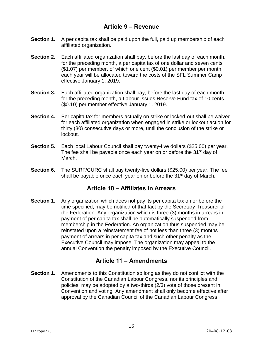# **Article 9 – Revenue**

- **Section 1.** A per capita tax shall be paid upon the full, paid up membership of each affiliated organization.
- **Section 2.** Each affiliated organization shall pay, before the last day of each month, for the preceding month, a per capita tax of one dollar and seven cents (\$1.07) per member, of which one cent (\$0.01) per member per month each year will be allocated toward the costs of the SFL Summer Camp effective January 1, 2019.
- **Section 3.** Each affiliated organization shall pay, before the last day of each month, for the preceding month, a Labour Issues Reserve Fund tax of 10 cents (\$0.10) per member effective January 1, 2019.
- **Section 4.** Per capita tax for members actually on strike or locked-out shall be waived for each affiliated organization when engaged in strike or lockout action for thirty (30) consecutive days or more, until the conclusion of the strike or lockout.
- **Section 5.** Each local Labour Council shall pay twenty-five dollars (\$25.00) per year. The fee shall be payable once each year on or before the 31<sup>st</sup> day of March.
- **Section 6.** The SURF/CURC shall pay twenty-five dollars (\$25.00) per year. The fee shall be payable once each year on or before the 31<sup>st</sup> day of March.

# **Article 10 – Affiliates in Arrears**

<span id="page-17-0"></span>**Section 1.** Any organization which does not pay its per capita tax on or before the time specified, may be notified of that fact by the Secretary-Treasurer of the Federation. Any organization which is three (3) months in arrears in payment of per capita tax shall be automatically suspended from membership in the Federation. An organization thus suspended may be reinstated upon a reinstatement fee of not less than three (3) months payment of arrears in per capita tax and such other penalty as the Executive Council may impose. The organization may appeal to the annual Convention the penalty imposed by the Executive Council.

# **Article 11 – Amendments**

<span id="page-17-1"></span>**Section 1.** Amendments to this Constitution so long as they do not conflict with the Constitution of the Canadian Labour Congress, nor its principles and policies, may be adopted by a two-thirds (2/3) vote of those present in Convention and voting. Any amendment shall only become effective after approval by the Canadian Council of the Canadian Labour Congress.